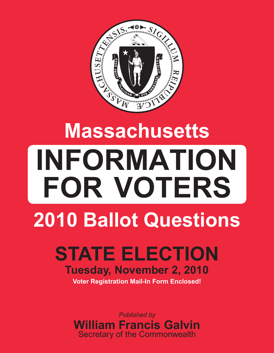

# **Massachusetts INFORMATION FOR VOTERS 2010 Ballot Questions**

# **STATE ELECTION Tuesday, November 2, 2010 Voter Registration Mail-In Form Enclosed!**

*Published by* **William Francis Galvin** Secretary of the Commonwealth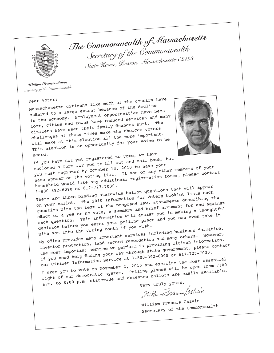

*The Commonwealth of Massachusetts Secretary of the Commonwealth State House, Boston, Massachusetts 02133*

*William Francis Galvin Secretary of the Commonwealth*

Dear Voter:<br>Massachusetts citizens like much of the country have suffered to a large extent because of the decline in the economy. Employment opportunities have been lost, cities and towns have reduced services and many citizens have seen their family finances hurt. challenges of these times make the choices voters will make at this election all the more important. This election is an opportunity for your voice to be



heard.<br>If you have not yet registered to vote, we have

heard.<br>If you have not yet registered to vote, we have<br>enclosed a form for you to fill out and mail back, but<br>you must register by October 13, 2010 to have your enclosed a form for you to him.<br>you must register by October 13, 2010 to have your members of your<br>name appear on the voting list. If you or any other members of your<br>name appear on the voting any additional registration f household would like any additional registration forms, please contac<sup>t</sup>

1-800-392-6090 or 617-727-7030.

There are three binding statewide ballot questions that will appear on your ballot. The 2010 Information for Voters booklet lists each question with the text of the proposed law, statements describing the effect of a yes or no vote, a summary and brief argument for and against each question. This information will assist you in making a thoughtful decision before you enter your polling place and you can even take it

with you into the voting booth if you wish. My office provides many important services including business formation, investor protection, land record recordation and many others. However, the most important service we perform is providing citizen information. If you need help finding your way through state government, please contact our Citizen Information Service at 1-800-392-6090 or 617-727-7030. I urge you to vote on November 2, 2010 and exercise the most essential right of our democratic system. Polling places will be open from 7:00 I urge you to vote on the system. Polling places will easily available.<br>right of our democratic system. Dolling places will easily available.<br>a.m. to 8:00 p.m. statewide and absentee ballots are easily available.

William Francis Galvin Secretary of the Commonwealth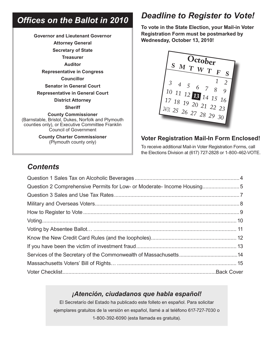# *Offices on the Ballot in 2010*

**Governor and Lieutenant Governor Attorney General Secretary of State Treasurer Auditor Representative in Congress Councillor Senator in General Court Representative in General Court District Attorney Sheriff County Commissioner**  (Barnstable, Bristol, Dukes, Norfolk and Plymouth counties only), or Executive Committee Franklin Council of Government **County Charter Commissioner** (Plymouth county only)

# *Deadline to Register to Vote!*

**To vote in the State Election, your Mail-in Voter Registration Form must be postmarked by Wednesday, October 13, 2010!**



#### **Voter Registration Mail-In Form Enclosed!**

To receive additional Mail-in Voter Registration Forms, call the Elections Division at (617) 727-2828 or 1-800-462-VOTE.

### *Contents*

| Question 2 Comprehensive Permits for Low- or Moderate-Income Housing5 |  |
|-----------------------------------------------------------------------|--|
|                                                                       |  |
|                                                                       |  |
|                                                                       |  |
|                                                                       |  |
|                                                                       |  |
|                                                                       |  |
|                                                                       |  |
|                                                                       |  |
|                                                                       |  |
|                                                                       |  |

#### *¡Atención, ciudadanos que habla español!*

El Secretarío del Estado ha publicado este folleto en español. Para solicitar ejemplares gratuitos de la versión en español, llamé a al teléfono 617-727-7030 o 1-800-392-6090 (esta llamada es gratuita).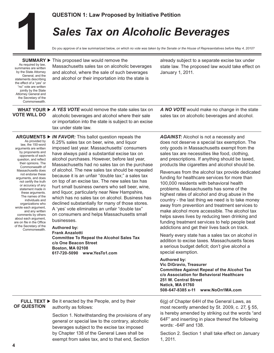# *Sales Tax on Alcoholic Beverages*  **QUESTION 1: Law Proposed by Initiative Petition**<br> **Sales Tax on Alcoholic B**<br> **100 you approve of a law summarized below, on which no vote was taken by the Senate or SUMMARY Finis proposed law would remove the already su**

Do you approve of a law summarized below, *on which no vote was taken by the Senate or the House of Representatives before May 4, 2010?*

As required by law, summaries are written by the State Attorney General, and the statements describing the effect of a "yes" or "no" vote are written jointly by the State Attorney General and the Secretary of the Commonwealth.

**SUMMARY** This proposed law would remove the Massachusetts sales tax on alcoholic beverages and alcohol, where the sale of such beverages and alcohol or their importation into the state is

already subject to a separate excise tax under state law. The proposed law would take effect on January 1, 2011.

**VOTE WILL DO**

As provided by law, the 150-word arguments are written by proponents and opponents of each question, and reflect their opinions. The Commonwealth of Massachusetts does not endorse these arguments, and does not certify the truth or accuracy of any statement made in these arguments. The names of the individuals and organizations who wrote each argument, and any written comments by others about each argument, are on file in the Office of the Secretary of the Commonwealth.

**WHAT YOUR ▶ A YES VOTE** would remove the state sales tax on alcoholic beverages and alcohol where their sale or importation into the state is subject to an excise tax under state law.

> 6.25% sales tax on beer, wine, and liquor imposed last year. Massachusetts' consumers have always paid a substantial excise tax on alcohol purchases. However, before last year, Massachusetts had no sales tax on the purchase of alcohol. The new sales tax should be repealed because it is an unfair "double tax;" a sales tax on top of an excise tax. The new sales tax has hurt small business owners who sell beer, wine, and liquor, particularly near New Hampshire, which has no sales tax on alcohol. Business has declined substantially for many of those stores. A 'yes' vote eliminates an unfair "double tax" on consumers and helps Massachusetts small

**Committee To Repeal the Alcohol Sales Tax**

**ARGUMENTS ▶ IN FAVOR:** This ballot question repeals the

*AGAINST:* Alcohol is not a necessity and does not deserve a special tax exemption. The only goods in Massachusetts exempt from the sales tax are necessities like food, clothing, and prescriptions. If anything should be taxed, products like cigarettes and alcohol should be.

*A NO VOTE* would make no change in the state sales tax on alcoholic beverages and alcohol.

Revenues from the alcohol tax provide dedicated funding for healthcare services for more than 100,000 residents with behavioral health problems. Massachusetts has some of the highest rates of alcohol and drug abuse in the country - the last thing we need is to take money away from prevention and treatment services to make alcohol more accessible. The alcohol tax helps saves lives by reducing teen drinking and funding treatment services to help people beat addictions and get their lives back on track.

Nearly every state has a sales tax on alcohol in addition to excise taxes. Massachusetts faces a serious budget deficit; don't give alcohol a special exemption.

#### **Authored by: Vic DiGravio, Treasurer Committee Against Repeal of the Alcohol Tax c/o Association for Behavioral Healthcare**

**251 W. Central Street Natick, MA 01760 508-647-8385 x-11 www.NoOn1MA.com**

**FULL TEXT ►** Be it enacted by the People, and by their authority as follows: **OF QUESTION**

**c/o One Beacon Street Boston, MA 02108**

**617-720-5090 www.YesTo1.com**

businesses. **Authored by: Frank Anzalotti**

Section 1. Notwithstanding the provisions of any general or special law to the contrary, alcoholic beverages subject to the excise tax imposed by Chapter 138 of the General Laws shall be exempt from sales tax, and to that end, Section

6(g) of Chapter 64H of the General Laws, as most recently amended by St. 2009, c. 27, § 55, is hereby amended by striking out the words "and 64F" and inserting in place thereof the following words: -64F and 138.

Section 2. Section 1 shall take effect on January 1, 2011.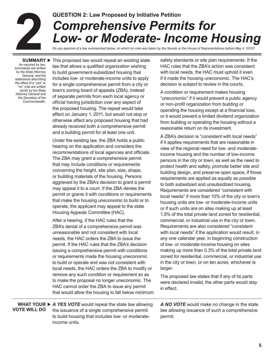# **2**<br>
SUMMAR

# **QUESTION 2: Law Proposed by Initiative Petition** *Comprehensive Permits for Low- or Moderate- Income Housing*

Do you approve of a law summarized below, *on which no vote was taken by the Senate or the House of Representatives before May 4, 2010?*

As required by law, summaries are written by the State Attorney General, and the statements describing the effect of a "yes" or "no" vote are written jointly by the State Attorney General and the Secretary of the Commonwealth.

**SUMMARY** This proposed law would repeal an existing state law that allows a qualified organization wishing to build government-subsidized housing that includes low- or moderate-income units to apply for a single comprehensive permit from a city or town's zoning board of appeals (ZBA), instead of separate permits from each local agency or official having jurisdiction over any aspect of the proposed housing. The repeal would take effect on January 1, 2011, but would not stop or otherwise affect any proposed housing that had already received both a comprehensive permit and a building permit for at least one unit.

> Under the existing law, the ZBA holds a public hearing on the application and considers the recommendations of local agencies and officials. The ZBA may grant a comprehensive permit that may include conditions or requirements concerning the height, site plan, size, shape, or building materials of the housing. Persons aggrieved by the ZBA's decision to grant a permit may appeal it to a court. If the ZBA denies the permit or grants it with conditions or requirements that make the housing uneconomic to build or to operate, the applicant may appeal to the state Housing Appeals Committee (HAC).

After a hearing, if the HAC rules that the ZBA's denial of a comprehensive permit was unreasonable and not consistent with local needs, the HAC orders the ZBA to issue the permit. If the HAC rules that the ZBA's decision issuing a comprehensive permit with conditions or requirements made the housing uneconomic to build or operate and was not consistent with local needs, the HAC orders the ZBA to modify or remove any such condition or requirement so as to make the proposal no longer uneconomic. The HAC cannot order the ZBA to issue any permit that would allow the housing to fall below minimum safety standards or site plan requirements. If the HAC rules that the ZBA's action was consistent with local needs, the HAC must uphold it even if it made the housing uneconomic. The HAC's decision is subject to review in the courts.

A condition or requirement makes housing "uneconomic" if it would prevent a public agency or non-profit organization from building or operating the housing except at a financial loss, or it would prevent a limited dividend organization from building or operating the housing without a reasonable return on its investment.

A ZBA's decision is "consistent with local needs" if it applies requirements that are reasonable in view of the regional need for low- and moderateincome housing and the number of low-income persons in the city or town, as well as the need to protect health and safety, promote better site and building design, and preserve open space, if those requirements are applied as equally as possible to both subsidized and unsubsidized housing. Requirements are considered "consistent with local needs" if more than 10% of the city or town's housing units are low- or moderate-income units or if such units are on sites making up at least 1.5% of the total private land zoned for residential, commercial, or industrial use in the city or town. Requirements are also considered "consistent with local needs" if the application would result, in any one calendar year, in beginning construction of low- or moderate-income housing on sites making up more than 0.3% of the total private land zoned for residential, commercial, or industrial use in the city or town, or on ten acres, whichever is larger.

The proposed law states that if any of its parts were declared invalid, the other parts would stay in effect.

**WHAT YOUR ► A YES VOTE** would repeal the state law allowing the issuance of a single comprehensive permit to build housing that includes low- or moderateincome units. **VOTE WILL DO**

*A NO VOTE* would make no change in the state law allowing issuance of such a comprehensive permit.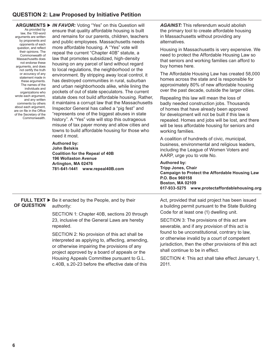#### **QUESTION 2: Law Proposed by Initiative Petition**

| As provided by<br>law, the 150-word<br>arguments are written<br>by proponents and<br>opponents of each<br>question, and reflect<br>their opinions. The<br>Commonwealth of<br>Massachusetts does<br>not endorse these<br>arguments, and does<br>not certify the truth<br>or accuracy of any<br>statement made in<br>these arguments.<br>The names of the<br>individuals and<br>organizations who<br>wrote each argument,<br>and any written<br>comments by others<br>about each argument,<br>are on file in the Office<br>of the Secretary of the<br>Commonwealth. | ARGUMENTS ▶ IN FAVOR: Voting "Yes" on this Question will<br>ensure that quality affordable housing is built<br>and remains for our parents, children, teachers<br>and public employees. Massachusetts needs<br>more affordable housing. A "Yes" vote will<br>repeal the current "Chapter 40B" statute, a<br>law that promotes subsidized, high-density<br>housing on any parcel of land without regard<br>to local regulations, the neighborhood or the<br>environment. By stripping away local control, it<br>has destroyed communities in rural, suburban<br>and urban neighborhoods alike, while lining the<br>pockets of out of state speculators. The current<br>statute does not build affordable housing. Rather,<br>it maintains a corrupt law that the Massachusetts<br>Inspector General has called a "pig fest" and<br>"represents one of the biggest abuses in state<br>history". A "Yes" vote will stop this outrageous<br>misuse of tax payer money and allow cities and<br>towns to build affordable housing for those who<br>need it most.<br>Authored by:<br>John Belskis<br><b>Coalition for the Repeal of 40B</b><br>196 Wollaston Avenue<br>Arlington, MA 02476<br>781-641-1441 www.repeal40B.com | <b>AGAINST:</b> This referendum would abolish<br>the primary tool to create affordable housing<br>in Massachusetts without providing any<br>alternatives.<br>Housing in Massachusetts is very expensive. We<br>need to protect the Affordable Housing Law so<br>that seniors and working families can afford to<br>buy homes here. |
|-------------------------------------------------------------------------------------------------------------------------------------------------------------------------------------------------------------------------------------------------------------------------------------------------------------------------------------------------------------------------------------------------------------------------------------------------------------------------------------------------------------------------------------------------------------------|-----------------------------------------------------------------------------------------------------------------------------------------------------------------------------------------------------------------------------------------------------------------------------------------------------------------------------------------------------------------------------------------------------------------------------------------------------------------------------------------------------------------------------------------------------------------------------------------------------------------------------------------------------------------------------------------------------------------------------------------------------------------------------------------------------------------------------------------------------------------------------------------------------------------------------------------------------------------------------------------------------------------------------------------------------------------------------------------------------------------------------------------------------------------------------------------------------------------------|------------------------------------------------------------------------------------------------------------------------------------------------------------------------------------------------------------------------------------------------------------------------------------------------------------------------------------|
|                                                                                                                                                                                                                                                                                                                                                                                                                                                                                                                                                                   |                                                                                                                                                                                                                                                                                                                                                                                                                                                                                                                                                                                                                                                                                                                                                                                                                                                                                                                                                                                                                                                                                                                                                                                                                       | The Affordable Housing Law has created 58,000<br>homes across the state and is responsible for<br>approximately 80% of new affordable housing<br>over the past decade, outside the larger cities.                                                                                                                                  |
|                                                                                                                                                                                                                                                                                                                                                                                                                                                                                                                                                                   |                                                                                                                                                                                                                                                                                                                                                                                                                                                                                                                                                                                                                                                                                                                                                                                                                                                                                                                                                                                                                                                                                                                                                                                                                       | Repealing this law will mean the loss of<br>badly needed construction jobs. Thousands<br>of homes that have already been approved<br>for development will not be built if this law is<br>repealed. Homes and jobs will be lost, and there<br>will be less affordable housing for seniors and<br>working families.                  |
|                                                                                                                                                                                                                                                                                                                                                                                                                                                                                                                                                                   |                                                                                                                                                                                                                                                                                                                                                                                                                                                                                                                                                                                                                                                                                                                                                                                                                                                                                                                                                                                                                                                                                                                                                                                                                       | A coalition of hundreds of civic, municipal,<br>business, environmental and religious leaders,<br>including the League of Women Voters and<br>AARP, urge you to vote No.                                                                                                                                                           |
|                                                                                                                                                                                                                                                                                                                                                                                                                                                                                                                                                                   |                                                                                                                                                                                                                                                                                                                                                                                                                                                                                                                                                                                                                                                                                                                                                                                                                                                                                                                                                                                                                                                                                                                                                                                                                       | <b>Authored by:</b><br><b>Tripp Jones, Chair</b><br><b>Campaign to Protect the Affordable Housing Law</b><br>P.O. Box 960158<br><b>Boston, MA 02109</b><br>617-933-5275 www.protectaffordablehousing.org                                                                                                                           |
| OF QUESTION                                                                                                                                                                                                                                                                                                                                                                                                                                                                                                                                                       | <b>FULL TEXT <math>\triangleright</math></b> Be it enacted by the People, and by their<br>authority:<br>SECTION 1: Chapter 40B, sections 20 through<br>23, inclusive of the General Laws are hereby<br>repealed.<br>SECTION 2: No provision of this act shall be<br>interpreted as applying to, affecting, amending,<br>or otherwise impairing the provisions of any<br>project approved by a board of appeals or the                                                                                                                                                                                                                                                                                                                                                                                                                                                                                                                                                                                                                                                                                                                                                                                                 | Act, provided that said project has been issued<br>a building permit pursuant to the State Building<br>Code for at least one (1) dwelling unit.                                                                                                                                                                                    |
|                                                                                                                                                                                                                                                                                                                                                                                                                                                                                                                                                                   |                                                                                                                                                                                                                                                                                                                                                                                                                                                                                                                                                                                                                                                                                                                                                                                                                                                                                                                                                                                                                                                                                                                                                                                                                       | SECTION 3: The provisions of this act are<br>severable, and if any provision of this act is                                                                                                                                                                                                                                        |
|                                                                                                                                                                                                                                                                                                                                                                                                                                                                                                                                                                   |                                                                                                                                                                                                                                                                                                                                                                                                                                                                                                                                                                                                                                                                                                                                                                                                                                                                                                                                                                                                                                                                                                                                                                                                                       | found to be unconstitutional, contrary to law,<br>or otherwise invalid by a court of competent<br>jurisdiction, then the other provisions of this act<br>shall continue to be in effect.                                                                                                                                           |
|                                                                                                                                                                                                                                                                                                                                                                                                                                                                                                                                                                   | Housing Appeals Committee pursuant to G.L.<br>c.40B, s.20-23 before the effective date of this                                                                                                                                                                                                                                                                                                                                                                                                                                                                                                                                                                                                                                                                                                                                                                                                                                                                                                                                                                                                                                                                                                                        | SECTION 4: This act shall take effect January 1,<br>2011.                                                                                                                                                                                                                                                                          |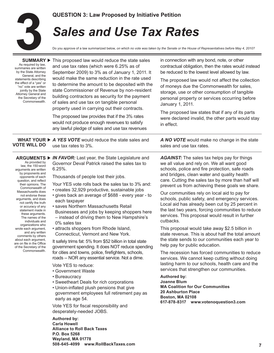

#### **QUESTION 3: Law Proposed by Initiative Petition**

# *Sales and Use Tax Rates*

Do you approve of a law summarized below, *on which no vote was taken by the Senate or the House of Representatives before May 4, 2010?*

| SUMMARY <b>&gt;</b><br>As required by law,<br>summaries are written<br>by the State Attorney<br>General, and the<br>statements describing<br>the effect of a "yes" or<br>"no" vote are written<br>jointly by the State<br>Attorney General and<br>the Secretary of the<br>Commonwealth.                                                                                                                                                                                                                                                                                                 | This proposed law would reduce the state sales<br>and use tax rates (which were 6.25% as of<br>September 2009) to 3% as of January 1, 2011. It<br>would make the same reduction in the rate used<br>to determine the amount to be deposited with the<br>state Commissioner of Revenue by non-resident<br>building contractors as security for the payment<br>of sales and use tax on tangible personal<br>property used in carrying out their contracts.<br>The proposed law provides that if the 3% rates<br>would not produce enough revenues to satisfy<br>any lawful pledge of sales and use tax revenues                                                                                                                                                                                                                                                                                                                                                                                                                                                                                                                                                                                                                           | in connection with any bond, note, or other<br>contractual obligation, then the rates would instead<br>be reduced to the lowest level allowed by law.<br>The proposed law would not affect the collection<br>of moneys due the Commonwealth for sales,<br>storage, use or other consumption of tangible<br>personal property or services occurring before<br>January 1, 2011.<br>The proposed law states that if any of its parts<br>were declared invalid, the other parts would stay<br>in effect.                                                                                                                                                                                                                                                                                                                                                                                                                                                                                                                                                                                                                                                                      |
|-----------------------------------------------------------------------------------------------------------------------------------------------------------------------------------------------------------------------------------------------------------------------------------------------------------------------------------------------------------------------------------------------------------------------------------------------------------------------------------------------------------------------------------------------------------------------------------------|-----------------------------------------------------------------------------------------------------------------------------------------------------------------------------------------------------------------------------------------------------------------------------------------------------------------------------------------------------------------------------------------------------------------------------------------------------------------------------------------------------------------------------------------------------------------------------------------------------------------------------------------------------------------------------------------------------------------------------------------------------------------------------------------------------------------------------------------------------------------------------------------------------------------------------------------------------------------------------------------------------------------------------------------------------------------------------------------------------------------------------------------------------------------------------------------------------------------------------------------|---------------------------------------------------------------------------------------------------------------------------------------------------------------------------------------------------------------------------------------------------------------------------------------------------------------------------------------------------------------------------------------------------------------------------------------------------------------------------------------------------------------------------------------------------------------------------------------------------------------------------------------------------------------------------------------------------------------------------------------------------------------------------------------------------------------------------------------------------------------------------------------------------------------------------------------------------------------------------------------------------------------------------------------------------------------------------------------------------------------------------------------------------------------------------|
| <b>VOTE WILL DO</b>                                                                                                                                                                                                                                                                                                                                                                                                                                                                                                                                                                     | WHAT YOUR $\triangleright$ A YES VOTE would reduce the state sales and<br>use tax rates to 3%.                                                                                                                                                                                                                                                                                                                                                                                                                                                                                                                                                                                                                                                                                                                                                                                                                                                                                                                                                                                                                                                                                                                                          | A NO VOTE would make no change in the state<br>sales and use tax rates.                                                                                                                                                                                                                                                                                                                                                                                                                                                                                                                                                                                                                                                                                                                                                                                                                                                                                                                                                                                                                                                                                                   |
| <b>ARGUMENTS ▶</b><br>As provided by<br>law, the 150-word<br>arguments are written<br>by proponents and<br>opponents of each<br>question, and reflect<br>their opinions. The<br>Commonwealth of<br>Massachusetts does<br>not endorse these<br>arguments, and does<br>not certify the truth<br>or accuracy of any<br>statement made in<br>these arguments.<br>The names of the<br>individuals and<br>organizations who<br>wrote each argument,<br>and any written<br>comments by others<br>about each argument,<br>are on file in the Office<br>of the Secretary of the<br>Commonwealth. | <b>IN FAVOR:</b> Last year, the State Legislature and<br>Governor Deval Patrick raised the sales tax to<br>$6.25%$ .<br>Thousands of people lost their jobs.<br>Your YES vote rolls back the sales tax to 3% and:<br>· creates 32,929 productive, sustainable jobs<br>• gives back an average of \$688 - every year - to<br>each taxpayer<br>· saves Northern Massachusetts Retail<br>Businesses and jobs by keeping shoppers here<br>- instead of driving them to New Hampshire's<br>0% sales tax<br>• attracts shoppers from Rhode Island,<br>Connecticut, Vermont and New York.<br>It safely trims fat: 5% from \$52 billion in total state<br>government spending. It does NOT reduce spending<br>for cities and towns, police, firefighters, schools,<br>roads -- NOR any essential service. Not a dime.<br>Vote YES to reduce:<br>• Government Waste<br>• Bureaucracy<br>• Sweetheart Deals for rich corporations<br>• Union-inflated plush pensions that give<br>government employees full retirement pay as<br>early as age 54.<br>Vote YES for fiscal responsibility and<br>desperately-needed JOBS.<br><b>Authored by:</b><br><b>Carla Howell</b><br><b>Alliance to Roll Back Taxes</b><br>P.O. Box 5268<br>Wayland, MA 01778 | <b>AGAINST:</b> The sales tax helps pay for things<br>we all value and rely on. We all want good<br>schools, police and fire protection, safe roads<br>and bridges, clean water and quality health<br>care. Cutting the sales tax by more than half will<br>prevent us from achieving these goals we share.<br>Our communities rely on local aid to pay for<br>schools, public safety, and emergency services.<br>Local aid has already been cut by 25 percent in<br>the last two years, forcing communities to reduce<br>services. This proposal would result in further<br>cutbacks.<br>This proposal would take away \$2.5 billion in<br>state revenue. This is about half the total amount<br>the state sends to our communities each year to<br>help pay for public education.<br>The recession has forced communities to reduce<br>services. We cannot keep cutting without doing<br>lasting harm to our schools, health care and the<br>services that strengthen our communities.<br><b>Authored by:</b><br>Joanne Blum<br><b>MA Coalition for Our Communities</b><br><b>20 Ashburton Place</b><br><b>Boston, MA 02108</b><br>617-878-8317 www.votenoquestion3.com |
|                                                                                                                                                                                                                                                                                                                                                                                                                                                                                                                                                                                         | 508-645-4099 www.RollBackTaxes.com                                                                                                                                                                                                                                                                                                                                                                                                                                                                                                                                                                                                                                                                                                                                                                                                                                                                                                                                                                                                                                                                                                                                                                                                      | 7                                                                                                                                                                                                                                                                                                                                                                                                                                                                                                                                                                                                                                                                                                                                                                                                                                                                                                                                                                                                                                                                                                                                                                         |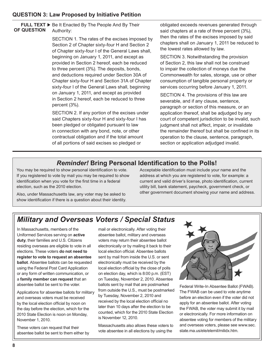#### **QUESTION 3: Law Proposed by Initiative Petition**

#### **FULL TEXT ▶** Be It Enacted By The People And By Their Authority: **OF QUESTION**

SECTION 1. The rates of the excises imposed by Section 2 of Chapter sixty-four H and Section 2 of Chapter sixty-four I of the General Laws shall, beginning on January 1, 2011, and except as provided in Section 2 hereof, each be reduced to three percent (3%). The deposits, bonds, and deductions required under Section 30A of Chapter sixty-four H and Section 31A of Chapter sixty-four I of the General Laws shall, beginning on January 1, 2011, and except as provided in Section 2 hereof, each be reduced to three percent (3%).

SECTION 2. If any portion of the excises under said Chapters sixty-four H and sixty-four I has been pledged or obligated pursuant to law in connection with any bond, note, or other contractual obligation and if the total amount of all portions of said excises so pledged or

obligated exceeds revenues generated through said chapters at a rate of three percent (3%), then the rates of the excises imposed by said chapters shall on January 1, 2011 be reduced to the lowest rates allowed by law.

SECTION 3. Notwithstanding the provision of Section 2, this law shall not be construed to impair the collection of moneys due the Commonwealth for sales, storage, use or other consumption of tangible personal property or services occurring before January 1, 2011.

SECTION 4. The provisions of this law are severable, and if any clause, sentence, paragraph or section of this measure, or an application thereof, shall be adjudged by any court of competent jurisdiction to be invalid, such judgment shall not affect, impair, or invalidate the remainder thereof but shall be confined in its operation to the clause, sentence, paragraph, section or application adjudged invalid.

#### *Reminder!* **Bring Personal Identification to the Polls!**

You may be required to show personal identification to vote. If you registered to vote by mail you may be required to show identification when you vote for the first time in a federal election, such as the 2010 election.

Also, under Massachusetts law, any voter may be asked to show identification if there is a question about their identity. Acceptable identification must include your name and the address at which you are registered to vote, for example: a current and valid driver's license, photo identification, current utility bill, bank statement, paycheck, government check, or other government document showing your name and address.

## *Military and Overseas Voters / Special Status*

In Massachusetts, members of the Uniformed Services serving on **active duty**, their families and U.S. Citizens residing overseas are eligible to vote in all elections. These voters **do not need to register to vote to request an absentee ballot**. Absentee ballots can be requested using the Federal Post Card Application or any form of written communication, or a **family member can request** that an absentee ballot be sent to the voter.

Applications for absentee ballots for military and overseas voters must be received by the local election official by noon on the day before the election, which for the 2010 State Election is noon on Monday, November 1, 2010.

These voters can request that their absentee ballot be sent to them either by

mail or electronically. After voting their absentee ballot, military and overseas voters may return their absentee ballot electronically or by mailing it back to their local election official. Absentee ballots sent by mail from inside the U.S. or sent electronically must be received by the local election official by the close of polls on election day, which is 8:00 p.m. (EST) on Tuesday, November 2, 2010. Absentee ballots sent by mail that are postmarked from outside the U.S., must be postmarked by Tuesday, November 2, 2010 and received by the local election official no later than 10 days after the election to be counted, which for the 2010 State Election is November 12, 2010.

Massachusetts also allows these voters to vote absentee in all elections by using the



Federal Write-In Absentee Ballot (FWAB). The FWAB can be used to vote anytime before an election even if the voter did not apply for an absentee ballot. After voting the FWAB, the voter may submit it by mail or electronically. For more information on absentee voting for members of the military and overseas voters, please see www.sec. state.ma.us/ele/elemil/milidx.htm.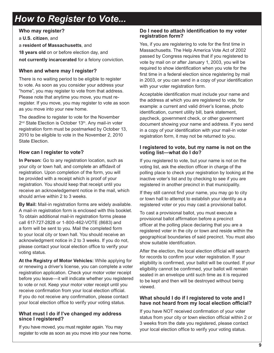# *How to Register to Vote...*

#### **Who may register?**

a **U.S. citizen**, and a **resident of Massachusetts**, and **18 years old** on or before election day, and **not currently incarcerated** for a felony conviction.

#### **When and where may I register?**

There is no waiting period to be eligible to register to vote. As soon as you consider your address your "home", you may register to vote from that address. Please note that anytime you move, you must reregister. If you move, you may register to vote as soon as you move into your new home.

The deadline to register to vote for the November 2<sup>nd</sup> State Election is October 13<sup>th</sup>. Any mail-in voter registration form must be postmarked by October 13, 2010 to be eligible to vote in the November 2, 2010 State Election.

#### **How can I register to vote?**

**In Person:** Go to any registration location, such as your city or town hall, and complete an affidavit of registration. Upon completion of the form, you will be provided with a receipt which is proof of your registration. You should keep that receipt until you receive an acknowledgement notice in the mail, which should arrive within 2 to 3 weeks.

**By Mail:** Mail-in registration forms are widely available. A mail-in registration form is enclosed with this booklet. To obtain additional mail-in registration forms please call 617-727-2828 or 1-800-462-VOTE (8683) and a form will be sent to you. Mail the completed form to your local city or town hall. You should receive an acknowledgment notice in 2 to 3 weeks. If you do not, please contact your local election office to verify your voting status.

**At the Registry of Motor Vehicles:** While applying for or renewing a driver's license, you can complete a voter registration application. Check your motor voter receipt before you leave—it will indicate whether you registered to vote or not. Keep your motor voter receipt until you receive confirmation from your local election official. If you do not receive any confirmation, please contact your local election office to verify your voting status.

#### **What must I do if I've changed my address since I registered?**

If you have moved, you must register again. You may register to vote as soon as you move into your new home.

#### **Do I need to attach identification to my voter registration form?**

Yes, if you are registering to vote for the first time in Massachusetts. The Help America Vote Act of 2002 passed by Congress requires that if you registered to vote by mail on or after January 1, 2003, you will be required to show identification when you vote for the first time in a federal election since registering by mail in 2003, or you can send in a copy of your identification with your voter registration form.

Acceptable identification must include your name and the address at which you are registered to vote, for example: a current and valid driver's license, photo identification, current utility bill, bank statement, paycheck, government check, or other government document showing your name and address. If you send in a copy of your identification with your mail-in voter registration form, it may not be returned to you.

#### **I registered to vote, but my name is not on the voting list—what do I do?**

If you registered to vote, but your name is not on the voting list, ask the election officer in charge of the polling place to check your registration by looking at the inactive voter's list and by checking to see if you are registered in another precinct in that municipality.

If they still cannot find your name, you may go to city or town hall to attempt to establish your identity as a registered voter or you may cast a provisional ballot.

To cast a provisional ballot, you must execute a provisional ballot affirmation before a precinct officer at the polling place declaring that you are a registered voter in the city or town and reside within the geographical boundaries of said precinct. You must also show suitable identification.

After the election, the local election official will search for records to confirm your voter registration. If your eligibility is confirmed, your ballot will be counted. If your eligibility cannot be confirmed, your ballot will remain sealed in an envelope until such time as it is required to be kept and then will be destroyed without being viewed.

#### **What should I do if I registered to vote and I have not heard from my local election official?**

If you have NOT received confirmation of your voter status from your city or town election official within 2 or 3 weeks from the date you registered, please contact your local election office to verify your voting status.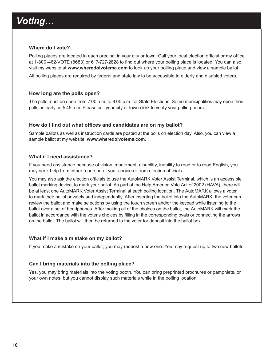# *Voting…*

#### **Where do I vote?**

Polling places are located in each precinct in your city or town. Call your local election official or my office at 1-800-462-VOTE (8683) or 617-727-2828 to find out where your polling place is located. You can also visit my website at **www.wheredoivotema.com** to look up your polling place and view a sample ballot.

All polling places are required by federal and state law to be accessible to elderly and disabled voters.

#### **How long are the polls open?**

The polls must be open from 7:00 a.m. to 8:00 p.m. for State Elections. Some municipalities may open their polls as early as 5:45 a.m. Please call your city or town clerk to verify your polling hours.

#### **How do I find out what offices and candidates are on my ballot?**

Sample ballots as well as instruction cards are posted at the polls on election day. Also, you can view a sample ballot at my website: **www.wheredoivotema.com.**

#### **What if I need assistance?**

If you need assistance because of vision impairment, disability, inability to read or to read English, you may seek help from either a person of your choice or from election officials.

You may also ask the election officials to use the AutoMARK Voter Assist Terminal, which is an accessible ballot marking device, to mark your ballot. As part of the Help America Vote Act of 2002 (HAVA), there will be at least one AutoMARK Voter Assist Terminal at each polling location. The AutoMARK allows a voter to mark their ballot privately and independently. After inserting the ballot into the AutoMARK, the voter can review the ballot and make selections by using the touch screen and/or the keypad while listening to the ballot over a set of headphones. After making all of the choices on the ballot, the AutoMARK will mark the ballot in accordance with the voter's choices by filling in the corresponding ovals or connecting the arrows on the ballot. The ballot will then be returned to the voter for deposit into the ballot box.

#### **What if I make a mistake on my ballot?**

If you make a mistake on your ballot, you may request a new one. You may request up to two new ballots.

#### **Can I bring materials into the polling place?**

Yes, you may bring materials into the voting booth. You can bring preprinted brochures or pamphlets, or your own notes, but you cannot display such materials while in the polling location.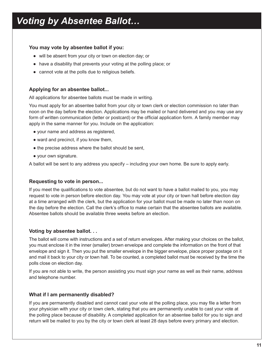# *Voting by Absentee Ballot…*

#### **You may vote by absentee ballot if you:**

- will be absent from your city or town on election day; or
- have a disability that prevents your voting at the polling place; or
- cannot vote at the polls due to religious beliefs.

#### **Applying for an absentee ballot...**

All applications for absentee ballots must be made in writing.

You must apply for an absentee ballot from your city or town clerk or election commission no later than noon on the day before the election. Applications may be mailed or hand delivered and you may use any form of written communication (letter or postcard) or the official application form. A family member may apply in the same manner for you. Include on the application:

- your name and address as registered,
- ward and precinct, if you know them,
- the precise address where the ballot should be sent,
- your own signature.

A ballot will be sent to any address you specify – including your own home. Be sure to apply early.

#### **Requesting to vote in person...**

If you meet the qualifications to vote absentee, but do not want to have a ballot mailed to you, you may request to vote in person before election day. You may vote at your city or town hall before election day at a time arranged with the clerk, but the application for your ballot must be made no later than noon on the day before the election. Call the clerk's office to make certain that the absentee ballots are available. Absentee ballots should be available three weeks before an election.

#### **Voting by absentee ballot. . .**

The ballot will come with instructions and a set of return envelopes. After making your choices on the ballot, you must enclose it in the inner (smaller) brown envelope and complete the information on the front of that envelope and sign it. Then you put the smaller envelope in the bigger envelope, place proper postage on it and mail it back to your city or town hall. To be counted, a completed ballot must be received by the time the polls close on election day.

If you are not able to write, the person assisting you must sign your name as well as their name, address and telephone number.

#### **What if I am permanently disabled?**

If you are permanently disabled and cannot cast your vote at the polling place, you may file a letter from your physician with your city or town clerk, stating that you are permanently unable to cast your vote at the polling place because of disability. A completed application for an absentee ballot for you to sign and return will be mailed to you by the city or town clerk at least 28 days before every primary and election.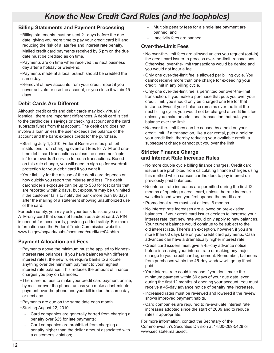## *Know the New Credit Card Rules (and the loopholes)*

#### **Billing Statements and Payment Processing**

- •Billing statements must be sent 21 days before the due date, giving you more time to pay your credit card bill and reducing the risk of a late fee and interest rate penalty.
- Mailed credit card payments received by 5 pm on the due date must be credited as on time.
- •Payments are on time when received the next business day after a holiday or weekend.
- •Payments made at a local branch should be credited the same day.
- Removal of new accounts from your credit report if you never activate or use the account, or you close it within 45 days.

#### **Debit Cards Are Different**

Although credit cards and debit cards may look virtually identical, there are important differences. A debit card is tied to the cardholder's savings or checking account and the card subtracts funds from that account. The debit card does not involve a loan unless the user exceeds the balance of the account and the bank extends credit for the purchase.

- •Starting July 1, 2010, Federal Reserve rules prohibit institutions from charging overdraft fees for ATM and onetime debit card transactions unless the consumer "opts in" to an overdraft service for such transactions. Based on this rule change, you will need to sign up for overdraft protection for your debit card if you want it.
- •Your liability for the misuse of the debit card depends on how quickly you report the misuse and loss. The debit cardholder's exposure can be up to \$50 for lost cards that are reported within 2 days, but exposure may be unlimited if the customer fails to notify the bank more than 60 days after the mailing of a statement showing unauthorized use of the card.

For extra safety, you may ask your bank to issue you an ATM-only card that does not function as a debit card. A PIN is needed for these cards, providing added safety. For more information see the Federal Trade Commission website: www.ftc.gov/bcp/edu/pubs/consumer/credit/cre04.shtm

#### **Payment Allocation and Fees**

- •Payments above the minimum must be applied to highestinterest rate balances. If you have balances with different interest rates, the new rules require banks to allocate anything over the minimum payment to your highest interest rate balance. This reduces the amount of finance charges you pay on balances.
- •There are no fees to make your credit card payment online, by mail, or over the phone, unless you make a last-minute payment over the phone and your bill is due the same day or next day.
- •Payments are due on the same date each month.
- •Starting August 22, 2010:
	- Card companies are generally barred from charging a penalty over \$25 for late payments;
	- Card companies are prohibited from charging a penalty higher than the dollar amount associated with a customer's violation;
- Multiple penalty fees for a single late payment are banned; and
- Inactivity fees are banned.

#### **Over-the-Limit Fees**

- No over-the-limit fees are allowed unless you request (opt-in) the credit card issuer to process over-the-limit transactions. Otherwise, over-the-limit transactions would be denied and you would not incur a fee.
- •Only one over-the-limit fee is allowed per billing cycle. You cannot receive more than one charge for exceeding your credit limit in any billing cycle.
- •Only one over-the-limit fee is permitted per over-the-limit transaction. If you make a purchase that puts you over your credit limit, you should only be charged one fee for that instance. Even if your balance remains over the limit the next billing cycle, you would not be charged a credit limit fee, unless you make an additional transaction that puts your balance over the limit.
- No over-the-limit fees can be caused by a hold on your credit limit. If a transaction, like a car rental, puts a hold on your credit limit, thereby reducing your available credit, a subsequent charge cannot put you over the limit.

#### **Stricter Finance Charge and Interest Rate Increase Rules**

- No more double cycle billing finance charges. Credit card issuers are prohibited from calculating finance charges using this method which causes cardholders to pay interest on previously paid balances.
- No interest rate increases are permitted during the first 12 months of opening a credit card, unless the rate increase was disclosed when you first opened the credit card.
- •Promotional rates must last at least 6 months.
- No interest rate increases are allowed on pre-existing balances. If your credit card issuer decides to increase your interest rate, that new rate would only apply to new balances. Your current balance would continue to be subject to the old interest rate. There's an exception, however, if you are more than 60 days late on your credit card payments. Cash advances can have a dramatically higher interest rate.
- Credit card issuers must give a 45-day advance notice before increasing your interest rate or making any major change to your credit card agreement. Remember, balances from purchases within the 45-day window will go up if not paid.
- •Your interest rate could increase if you don't make the minimum payment within 30 days of your due date, even during the first 12 months of opening your account. You must receive a 45-day advance notice of penalty rate increases.
- •Increased rates must be reviewed and lowered if the review shows improved payment habits.
- Card companies are required to re-evaluate interest rate increases adopted since the start of 2009 and to reduce rates if appropriate.

For more information, contact the Secretary of the Commonwealth's Securities Division at 1-800-269-5428 or www.sec.state.ma.us/sct.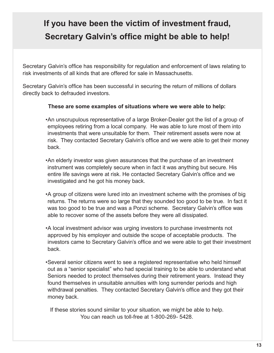# **If you have been the victim of investment fraud, Secretary Galvin's office might be able to help!**

Secretary Galvin's office has responsibility for regulation and enforcement of laws relating to risk investments of all kinds that are offered for sale in Massachusetts.

Secretary Galvin's office has been successful in securing the return of millions of dollars directly back to defrauded investors.

#### **These are some examples of situations where we were able to help:**

•An unscrupulous representative of a large Broker-Dealer got the list of a group of employees retiring from a local company. He was able to lure most of them into investments that were unsuitable for them. Their retirement assets were now at risk. They contacted Secretary Galvin's office and we were able to get their money back.

•An elderly investor was given assurances that the purchase of an investment instrument was completely secure when in fact it was anything but secure. His entire life savings were at risk. He contacted Secretary Galvin's office and we investigated and he got his money back.

•A group of citizens were lured into an investment scheme with the promises of big returns. The returns were so large that they sounded too good to be true. In fact it was too good to be true and was a Ponzi scheme. Secretary Galvin's office was able to recover some of the assets before they were all dissipated.

•A local investment advisor was urging investors to purchase investments not approved by his employer and outside the scope of acceptable products. The investors came to Secretary Galvin's office and we were able to get their investment back.

•Several senior citizens went to see a registered representative who held himself out as a "senior specialist" who had special training to be able to understand what Seniors needed to protect themselves during their retirement years. Instead they found themselves in unsuitable annuities with long surrender periods and high withdrawal penalties. They contacted Secretary Galvin's office and they got their money back.

If these stories sound similar to your situation, we might be able to help. You can reach us toll-free at 1-800-269- 5428.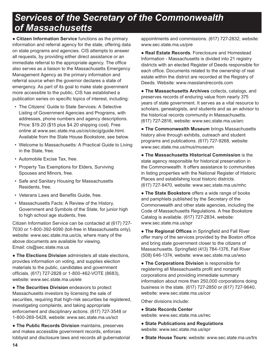# *Services of the Secretary of the Commonwealth of Massachusetts*

● **Citizen Information Service** functions as the primary information and referral agency for the state, offering data on state programs and agencies. CIS attempts to answer all requests, by providing either direct assistance or an immediate referral to the appropriate agency. The office also serves as a liaison to the Massachusetts Emergency Management Agency as the primary information and referral source when the governor declares a state of emergency. As part of its goal to make state government more accessible to the public, CIS has established a publication series on specific topics of interest, including:

- The Citizens' Guide to State Services: A Selective Listing of Government Agencies and Programs, with addresses, phone numbers and agency descriptions. Price: \$19.20 (\$15 plus \$4.20 shipping cost). Free online at www.sec.state.ma.us/cis/ciscig/guide.html. Available from the State House Bookstore, see below.
- Welcome to Massachusetts: A Practical Guide to Living in the State, free.
- Automobile Excise Tax, free.
- Property Tax Exemptions for Elders, Surviving Spouses and Minors, free.
- Safe and Sanitary Housing for Massachusetts Residents, free.
- Veterans Laws and Benefits Guide, free.
- Massachusetts Facts: A Review of the History, Government and Symbols of the State, for junior high to high school age students, free.

Citizen Information Service can be contacted at (617) 727- 7030 or 1-800-392-6090 (toll-free in Massachusetts only), website: www.sec.state.ma.us/cis, where many of the above documents are available for viewing. Email: cis@sec.state.ma.us

● **The Elections Division** administers all state elections, provides information on voting, and supplies election materials to the public, candidates and government officials. (617) 727-2828 or 1-800-462-VOTE (8683), website: www.sec.state.ma.us/ele

● **The Securities Division** endeavors to protect Massachusetts investors by licensing the sale of securities, requiring that high-risk securities be registered, investigating complaints, and taking appropriate enforcement and disciplinary actions. (617) 727-3548 or 1-800-269-5428, website: www.sec.state.ma.us/sct

● **The Public Records Division** maintains, preserves and makes accessible government records, enforces lobbyist and disclosure laws and records all gubernatorial

appointments and commissions. (617) 727-2832, website: www.sec.state.ma.us/pre

● **Real Estate Records**. Foreclosure and Homestead Information - Massachusetts is divided into 21 registry districts with an elected Register of Deeds responsible for each office. Documents related to the ownership of real estate within the district are recorded at the Registry of Deeds. Website: www.masslandrecords.com

● **The Massachusetts Archives** collects, catalogs, and preserves records of enduring value from nearly 375 years of state government. It serves as a vital resource to scholars, genealogists, and students and as an advisor to the historical records community in Massachusetts. (617) 727-2816, website: www.sec.state.ma.us/arc

● **The Commonwealth Museum** brings Massachusetts history alive through exhibits, outreach and student programs and publications. (617) 727-9268, website: www.sec.state.ma.us/mus/museum

● **The Massachusetts Historical Commission** is the state agency responsible for historical preservation in the Commonwealth. It offers assistance to communities in listing properties with the National Register of Historic Places and establishing local historic districts. (617) 727-8470, website: www.sec.state.ma.us/mhc

**• The State Bookstore** offers a wide range of books and pamphlets published by the Secretary of the Commonwealth and other state agencies, including the Code of Massachusetts Regulations. A free Bookstore Catalog is available. (617) 727-2834, website: www.sec.state.ma.us/spr

● **The Regional Offices** in Springfield and Fall River offer many of the services provided by the Boston office and bring state government closer to the citizens of Massachusetts. Springfield (413) 784-1376, Fall River (508) 646-1374, website: www.sec.state.ma.us/wso

● **The Corporations Division** is responsible for registering all Massachusetts profit and nonprofit corporations and providing immediate summary information about more than 250,000 corporations doing business in the state. (617) 727-2850 or (617) 727-9640, website: www.sec.state.ma.us/cor

Other divisions include:

#### ● **State Records Center**

website: www.sec.state.ma.us/rec

- **State Publications and Regulations**
- website: www.sec.state.ma.us/spr
- **State House Tours:** website: www.sec.state.ma.us/trs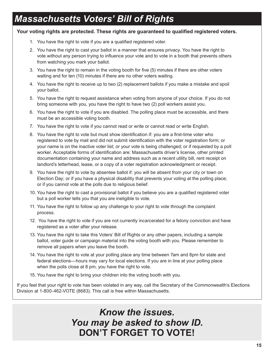# *Massachusetts Voters' Bill of Rights*

#### **Your voting rights are protected. These rights are guaranteed to qualified registered voters.**

- 1. You have the right to vote if you are a qualified registered voter.
- 2. You have the right to cast your ballot in a manner that ensures privacy. You have the right to vote without any person trying to influence your vote and to vote in a booth that prevents others from watching you mark your ballot.
- 3. You have the right to remain in the voting booth for five (5) minutes if there are other voters waiting and for ten (10) minutes if there are no other voters waiting.
- 4. You have the right to receive up to two (2) replacement ballots if you make a mistake and spoil your ballot.
- 5. You have the right to request assistance when voting from anyone of your choice. If you do not bring someone with you, you have the right to have two (2) poll workers assist you.
- 6. You have the right to vote if you are disabled. The polling place must be accessible, and there must be an accessible voting booth.
- 7. You have the right to vote if you cannot read or write or cannot read or write English.
- 8. You have the right to vote but must show identification if: you are a first-time voter who registered to vote by mail and did not submit identification with the voter registration form; or your name is on the inactive voter list; or your vote is being challenged; or if requested by a poll worker. Acceptable forms of identification are: Massachusetts driver's license, other printed documentation containing your name and address such as a recent utility bill, rent receipt on landlord's letterhead, lease, or a copy of a voter registration acknowledgment or receipt.
- 9. You have the right to vote by absentee ballot if: you will be absent from your city or town on Election Day; or if you have a physical disability that prevents your voting at the polling place; or if you cannot vote at the polls due to religious belief.
- 10. You have the right to cast a provisional ballot if you believe you are a qualified registered voter but a poll worker tells you that you are ineligible to vote.
- 11. You have the right to follow up any challenge to your right to vote through the complaint process.
- 12. You have the right to vote if you are not currently incarcerated for a felony conviction and have registered as a voter after your release.
- 13. You have the right to take this Voters' Bill of Rights or any other papers, including a sample ballot, voter guide or campaign material into the voting booth with you. Please remember to remove all papers when you leave the booth.
- 14. You have the right to vote at your polling place any time between 7am and 8pm for state and federal elections—hours may vary for local elections. If you are in line at your polling place when the polls close at 8 pm, you have the right to vote.
- 15. You have the right to bring your children into the voting booth with you.

If you feel that your right to vote has been violated in any way, call the Secretary of the Commonwealth's Elections Division at 1-800-462-VOTE (8683). This call is free within Massachusetts.

> *Know the issues. You may be asked to show ID.* **DON'T FORGET TO VOTE!**